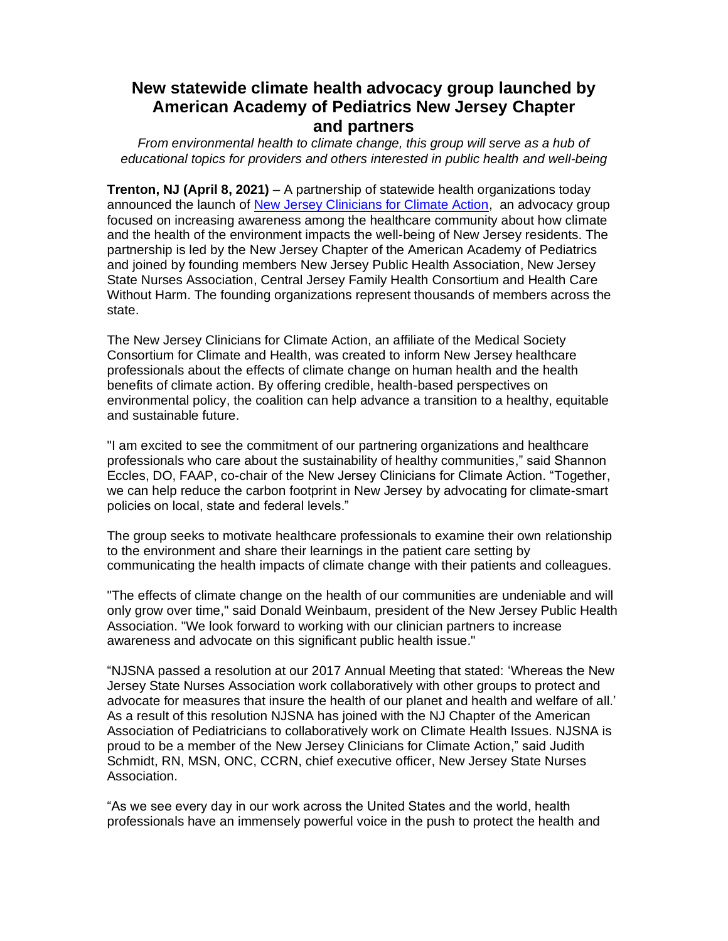## **New statewide climate health advocacy group launched by American Academy of Pediatrics New Jersey Chapter and partners**

*From environmental health to climate change, this group will serve as a hub of educational topics for providers and others interested in public health and well-being*

**Trenton, NJ (April 8, 2021)** – A partnership of statewide health organizations today announced the launch of [New Jersey Clinicians for Climate Action,](https://states.ms2ch.org/nj/njcca/) an advocacy group focused on increasing awareness among the healthcare community about how climate and the health of the environment impacts the well-being of New Jersey residents. The partnership is led by the New Jersey Chapter of the American Academy of Pediatrics and joined by founding members New Jersey Public Health Association, New Jersey State Nurses Association, Central Jersey Family Health Consortium and Health Care Without Harm. The founding organizations represent thousands of members across the state.

The New Jersey Clinicians for Climate Action, an affiliate of the Medical Society Consortium for Climate and Health, was created to inform New Jersey healthcare professionals about the effects of climate change on human health and the health benefits of climate action. By offering credible, health-based perspectives on environmental policy, the coalition can help advance a transition to a healthy, equitable and sustainable future.

"I am excited to see the commitment of our partnering organizations and healthcare professionals who care about the sustainability of healthy communities," said Shannon Eccles, DO, FAAP, co-chair of the New Jersey Clinicians for Climate Action. "Together, we can help reduce the carbon footprint in New Jersey by advocating for climate-smart policies on local, state and federal levels."

The group seeks to motivate healthcare professionals to examine their own relationship to the environment and share their learnings in the patient care setting by communicating the health impacts of climate change with their patients and colleagues.

"The effects of climate change on the health of our communities are undeniable and will only grow over time," said Donald Weinbaum, president of the New Jersey Public Health Association. "We look forward to working with our clinician partners to increase awareness and advocate on this significant public health issue."

"NJSNA passed a resolution at our 2017 Annual Meeting that stated: 'Whereas the New Jersey State Nurses Association work collaboratively with other groups to protect and advocate for measures that insure the health of our planet and health and welfare of all.' As a result of this resolution NJSNA has joined with the NJ Chapter of the American Association of Pediatricians to collaboratively work on Climate Health Issues. NJSNA is proud to be a member of the New Jersey Clinicians for Climate Action," said Judith Schmidt, RN, MSN, ONC, CCRN, chief executive officer, New Jersey State Nurses Association.

"As we see every day in our work across the United States and the world, health professionals have an immensely powerful voice in the push to protect the health and